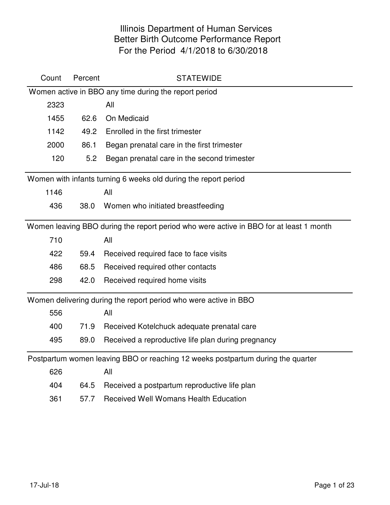| Count | Percent | <b>STATEWIDE</b>                                                                       |
|-------|---------|----------------------------------------------------------------------------------------|
|       |         | Women active in BBO any time during the report period                                  |
| 2323  |         | All                                                                                    |
| 1455  | 62.6    | On Medicaid                                                                            |
| 1142  | 49.2    | Enrolled in the first trimester                                                        |
| 2000  | 86.1    | Began prenatal care in the first trimester                                             |
| 120   | 5.2     | Began prenatal care in the second trimester                                            |
|       |         | Women with infants turning 6 weeks old during the report period                        |
| 1146  |         | All                                                                                    |
| 436   | 38.0    | Women who initiated breastfeeding                                                      |
|       |         | Women leaving BBO during the report period who were active in BBO for at least 1 month |
| 710   |         | All                                                                                    |
| 422   | 59.4    | Received required face to face visits                                                  |
| 486   | 68.5    | Received required other contacts                                                       |
| 298   | 42.0    | Received required home visits                                                          |
|       |         | Women delivering during the report period who were active in BBO                       |
| 556   |         | All                                                                                    |
| 400   | 71.9    | Received Kotelchuck adequate prenatal care                                             |
| 495   | 89.0    | Received a reproductive life plan during pregnancy                                     |
|       |         | Postpartum women leaving BBO or reaching 12 weeks postpartum during the quarter        |
| 626   |         | All                                                                                    |
| 404   | 64.5    | Received a postpartum reproductive life plan                                           |
| 361   | 57.7    | <b>Received Well Womans Health Education</b>                                           |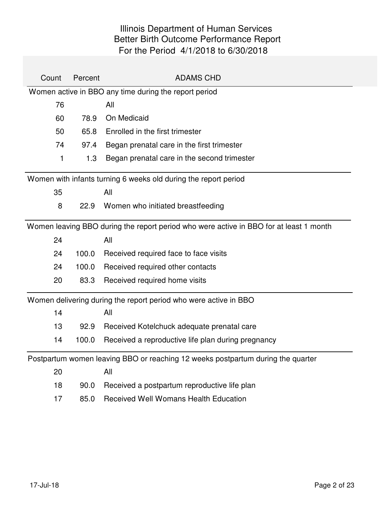| Count | Percent | <b>ADAMS CHD</b>                                                                       |
|-------|---------|----------------------------------------------------------------------------------------|
|       |         | Women active in BBO any time during the report period                                  |
| 76    |         | All                                                                                    |
| 60    | 78.9    | On Medicaid                                                                            |
| 50    | 65.8    | Enrolled in the first trimester                                                        |
| 74    | 97.4    | Began prenatal care in the first trimester                                             |
| 1     | 1.3     | Began prenatal care in the second trimester                                            |
|       |         | Women with infants turning 6 weeks old during the report period                        |
| 35    |         | All                                                                                    |
| 8     | 22.9    | Women who initiated breastfeeding                                                      |
|       |         | Women leaving BBO during the report period who were active in BBO for at least 1 month |
| 24    |         | All                                                                                    |
| 24    | 100.0   | Received required face to face visits                                                  |
| 24    | 100.0   | Received required other contacts                                                       |
| 20    | 83.3    | Received required home visits                                                          |
|       |         | Women delivering during the report period who were active in BBO                       |
| 14    |         | All                                                                                    |
| 13    | 92.9    | Received Kotelchuck adequate prenatal care                                             |
| 14    | 100.0   | Received a reproductive life plan during pregnancy                                     |
|       |         | Postpartum women leaving BBO or reaching 12 weeks postpartum during the quarter        |
| 20    |         | All                                                                                    |
| 18    | 90.0    | Received a postpartum reproductive life plan                                           |
| 17    | 85.0    | <b>Received Well Womans Health Education</b>                                           |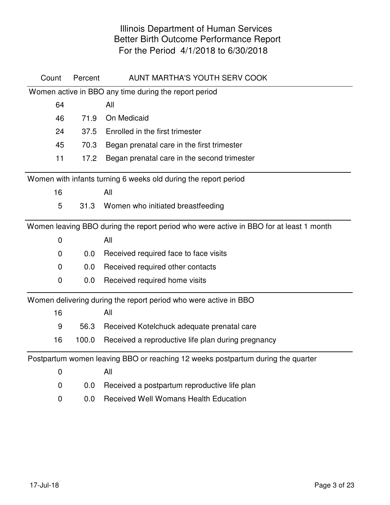| Count       | Percent | AUNT MARTHA'S YOUTH SERV COOK                                                          |
|-------------|---------|----------------------------------------------------------------------------------------|
|             |         | Women active in BBO any time during the report period                                  |
| 64          |         | All                                                                                    |
| 46          | 71.9    | On Medicaid                                                                            |
| 24          | 37.5    | Enrolled in the first trimester                                                        |
| 45          | 70.3    | Began prenatal care in the first trimester                                             |
| 11          | 17.2    | Began prenatal care in the second trimester                                            |
|             |         | Women with infants turning 6 weeks old during the report period                        |
| 16          |         | All                                                                                    |
| 5           |         | 31.3 Women who initiated breastfeeding                                                 |
|             |         | Women leaving BBO during the report period who were active in BBO for at least 1 month |
| $\mathbf 0$ |         | All                                                                                    |
| $\mathbf 0$ | 0.0     | Received required face to face visits                                                  |
| $\mathbf 0$ | 0.0     | Received required other contacts                                                       |
| $\mathbf 0$ | 0.0     | Received required home visits                                                          |
|             |         | Women delivering during the report period who were active in BBO                       |
| 16          |         | All                                                                                    |
| 9           | 56.3    | Received Kotelchuck adequate prenatal care                                             |
| 16          | 100.0   | Received a reproductive life plan during pregnancy                                     |
|             |         | Postpartum women leaving BBO or reaching 12 weeks postpartum during the quarter        |
| 0           |         | All                                                                                    |
| $\mathbf 0$ | 0.0     | Received a postpartum reproductive life plan                                           |
| 0           | 0.0     | <b>Received Well Womans Health Education</b>                                           |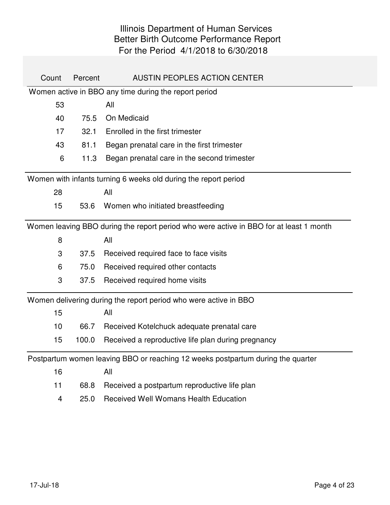| Count | Percent | <b>AUSTIN PEOPLES ACTION CENTER</b>                                                    |
|-------|---------|----------------------------------------------------------------------------------------|
|       |         | Women active in BBO any time during the report period                                  |
| 53    |         | All                                                                                    |
| 40    | 75.5    | On Medicaid                                                                            |
| 17    | 32.1    | Enrolled in the first trimester                                                        |
| 43    | 81.1    | Began prenatal care in the first trimester                                             |
| 6     | 11.3    | Began prenatal care in the second trimester                                            |
|       |         | Women with infants turning 6 weeks old during the report period                        |
| 28    |         | All                                                                                    |
| 15    | 53.6    | Women who initiated breastfeeding                                                      |
|       |         | Women leaving BBO during the report period who were active in BBO for at least 1 month |
| 8     |         | All                                                                                    |
| 3     | 37.5    | Received required face to face visits                                                  |
| 6     | 75.0    | Received required other contacts                                                       |
| 3     | 37.5    | Received required home visits                                                          |
|       |         | Women delivering during the report period who were active in BBO                       |
| 15    |         | All                                                                                    |
| 10    | 66.7    | Received Kotelchuck adequate prenatal care                                             |
| 15    | 100.0   | Received a reproductive life plan during pregnancy                                     |
|       |         | Postpartum women leaving BBO or reaching 12 weeks postpartum during the quarter        |
| 16    |         | All                                                                                    |
| 11    | 68.8    | Received a postpartum reproductive life plan                                           |
| 4     | 25.0    | <b>Received Well Womans Health Education</b>                                           |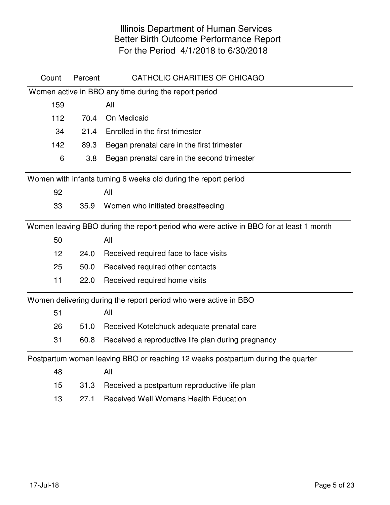| Count | Percent | CATHOLIC CHARITIES OF CHICAGO                                                          |
|-------|---------|----------------------------------------------------------------------------------------|
|       |         | Women active in BBO any time during the report period                                  |
| 159   |         | All                                                                                    |
| 112   | 70.4    | On Medicaid                                                                            |
| 34    | 21.4    | Enrolled in the first trimester                                                        |
| 142   | 89.3    | Began prenatal care in the first trimester                                             |
| 6     | 3.8     | Began prenatal care in the second trimester                                            |
|       |         | Women with infants turning 6 weeks old during the report period                        |
| 92    |         | All                                                                                    |
| 33    | 35.9    | Women who initiated breastfeeding                                                      |
|       |         | Women leaving BBO during the report period who were active in BBO for at least 1 month |
| 50    |         | All                                                                                    |
| 12    | 24.0    | Received required face to face visits                                                  |
| 25    | 50.0    | Received required other contacts                                                       |
| 11    | 22.0    | Received required home visits                                                          |
|       |         | Women delivering during the report period who were active in BBO                       |
| 51    |         | All                                                                                    |
| 26    | 51.0    | Received Kotelchuck adequate prenatal care                                             |
| 31    | 60.8    | Received a reproductive life plan during pregnancy                                     |
|       |         | Postpartum women leaving BBO or reaching 12 weeks postpartum during the quarter        |
| 48    |         | All                                                                                    |
| 15    | 31.3    | Received a postpartum reproductive life plan                                           |
| 13    | 27.1    | <b>Received Well Womans Health Education</b>                                           |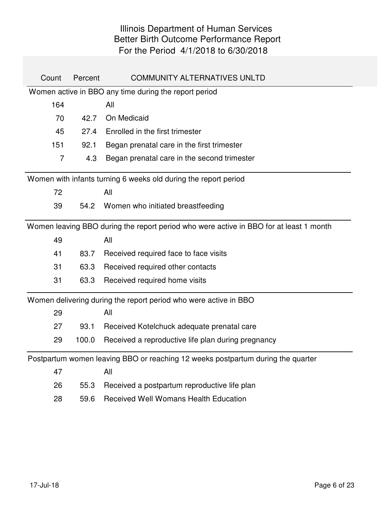| Count          | Percent | <b>COMMUNITY ALTERNATIVES UNLTD</b>                                                    |
|----------------|---------|----------------------------------------------------------------------------------------|
|                |         | Women active in BBO any time during the report period                                  |
| 164            |         | All                                                                                    |
| 70             | 42.7    | On Medicaid                                                                            |
| 45             | 27.4    | Enrolled in the first trimester                                                        |
| 151            | 92.1    | Began prenatal care in the first trimester                                             |
| $\overline{7}$ | 4.3     | Began prenatal care in the second trimester                                            |
|                |         | Women with infants turning 6 weeks old during the report period                        |
| 72             |         | All                                                                                    |
| 39             | 54.2    | Women who initiated breastfeeding                                                      |
|                |         | Women leaving BBO during the report period who were active in BBO for at least 1 month |
| 49             |         | All                                                                                    |
| 41             | 83.7    | Received required face to face visits                                                  |
| 31             | 63.3    | Received required other contacts                                                       |
| 31             | 63.3    | Received required home visits                                                          |
|                |         | Women delivering during the report period who were active in BBO                       |
| 29             |         | All                                                                                    |
| 27             | 93.1    | Received Kotelchuck adequate prenatal care                                             |
| 29             | 100.0   | Received a reproductive life plan during pregnancy                                     |
|                |         | Postpartum women leaving BBO or reaching 12 weeks postpartum during the quarter        |
| 47             |         | All                                                                                    |
| 26             | 55.3    | Received a postpartum reproductive life plan                                           |
| 28             | 59.6    | <b>Received Well Womans Health Education</b>                                           |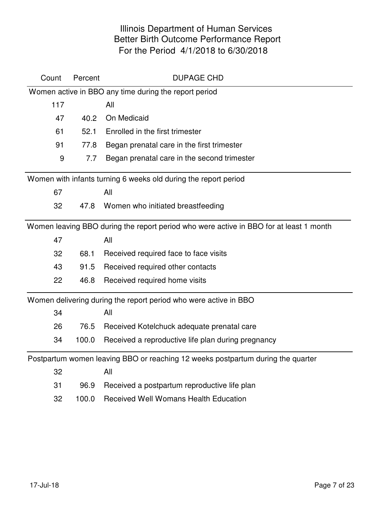| Count | Percent | <b>DUPAGE CHD</b>                                                                      |
|-------|---------|----------------------------------------------------------------------------------------|
|       |         | Women active in BBO any time during the report period                                  |
| 117   |         | All                                                                                    |
| 47    | 40.2    | On Medicaid                                                                            |
| 61    | 52.1    | Enrolled in the first trimester                                                        |
| 91    | 77.8    | Began prenatal care in the first trimester                                             |
| 9     | 7.7     | Began prenatal care in the second trimester                                            |
|       |         | Women with infants turning 6 weeks old during the report period                        |
| 67    |         | All                                                                                    |
| 32    | 47.8    | Women who initiated breastfeeding                                                      |
|       |         | Women leaving BBO during the report period who were active in BBO for at least 1 month |
| 47    |         | All                                                                                    |
| 32    | 68.1    | Received required face to face visits                                                  |
| 43    | 91.5    | Received required other contacts                                                       |
| 22    | 46.8    | Received required home visits                                                          |
|       |         | Women delivering during the report period who were active in BBO                       |
| 34    |         | All                                                                                    |
| 26    | 76.5    | Received Kotelchuck adequate prenatal care                                             |
| 34    | 100.0   | Received a reproductive life plan during pregnancy                                     |
|       |         | Postpartum women leaving BBO or reaching 12 weeks postpartum during the quarter        |
| 32    |         | All                                                                                    |
| 31    | 96.9    | Received a postpartum reproductive life plan                                           |
| 32    | 100.0   | <b>Received Well Womans Health Education</b>                                           |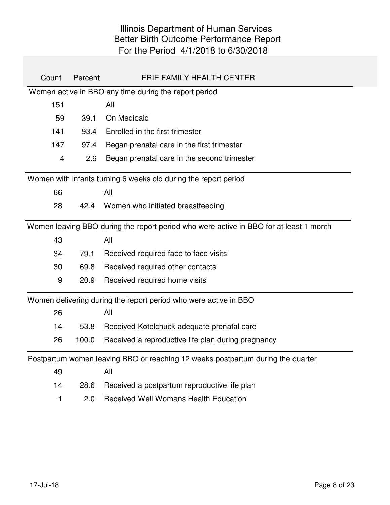| Count          | Percent | ERIE FAMILY HEALTH CENTER                                                              |
|----------------|---------|----------------------------------------------------------------------------------------|
|                |         | Women active in BBO any time during the report period                                  |
| 151            |         | All                                                                                    |
| 59             | 39.1    | On Medicaid                                                                            |
| 141            | 93.4    | Enrolled in the first trimester                                                        |
| 147            | 97.4    | Began prenatal care in the first trimester                                             |
| $\overline{4}$ | 2.6     | Began prenatal care in the second trimester                                            |
|                |         | Women with infants turning 6 weeks old during the report period                        |
| 66             |         | All                                                                                    |
| 28             | 42.4    | Women who initiated breastfeeding                                                      |
|                |         | Women leaving BBO during the report period who were active in BBO for at least 1 month |
| 43             |         | All                                                                                    |
| 34             | 79.1    | Received required face to face visits                                                  |
| 30             | 69.8    | Received required other contacts                                                       |
| 9              | 20.9    | Received required home visits                                                          |
|                |         | Women delivering during the report period who were active in BBO                       |
| 26             |         | All                                                                                    |
| 14             | 53.8    | Received Kotelchuck adequate prenatal care                                             |
| 26             | 100.0   | Received a reproductive life plan during pregnancy                                     |
|                |         | Postpartum women leaving BBO or reaching 12 weeks postpartum during the quarter        |
| 49             |         | All                                                                                    |
| 14             | 28.6    | Received a postpartum reproductive life plan                                           |
| 1              | 2.0     | <b>Received Well Womans Health Education</b>                                           |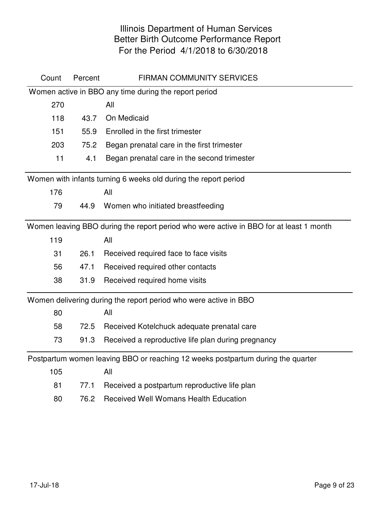| Count | Percent | <b>FIRMAN COMMUNITY SERVICES</b>                                                       |
|-------|---------|----------------------------------------------------------------------------------------|
|       |         | Women active in BBO any time during the report period                                  |
| 270   |         | All                                                                                    |
| 118   | 43.7    | On Medicaid                                                                            |
| 151   | 55.9    | Enrolled in the first trimester                                                        |
| 203   | 75.2    | Began prenatal care in the first trimester                                             |
| 11    | 4.1     | Began prenatal care in the second trimester                                            |
|       |         | Women with infants turning 6 weeks old during the report period                        |
| 176   |         | All                                                                                    |
| 79    | 44.9    | Women who initiated breastfeeding                                                      |
|       |         | Women leaving BBO during the report period who were active in BBO for at least 1 month |
| 119   |         | All                                                                                    |
| 31    | 26.1    | Received required face to face visits                                                  |
| 56    | 47.1    | Received required other contacts                                                       |
| 38    | 31.9    | Received required home visits                                                          |
|       |         | Women delivering during the report period who were active in BBO                       |
| 80    |         | All                                                                                    |
| 58    | 72.5    | Received Kotelchuck adequate prenatal care                                             |
| 73    | 91.3    | Received a reproductive life plan during pregnancy                                     |
|       |         | Postpartum women leaving BBO or reaching 12 weeks postpartum during the quarter        |
| 105   |         | All                                                                                    |
| 81    | 77.1    | Received a postpartum reproductive life plan                                           |
| 80    | 76.2    | <b>Received Well Womans Health Education</b>                                           |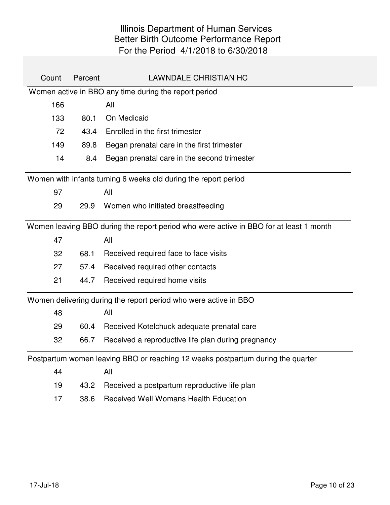| Count | Percent | <b>LAWNDALE CHRISTIAN HC</b>                                                           |
|-------|---------|----------------------------------------------------------------------------------------|
|       |         | Women active in BBO any time during the report period                                  |
| 166   |         | All                                                                                    |
| 133   | 80.1    | On Medicaid                                                                            |
| 72    | 43.4    | Enrolled in the first trimester                                                        |
| 149   | 89.8    | Began prenatal care in the first trimester                                             |
| 14    | 8.4     | Began prenatal care in the second trimester                                            |
|       |         | Women with infants turning 6 weeks old during the report period                        |
| 97    |         | All                                                                                    |
| 29    | 29.9    | Women who initiated breastfeeding                                                      |
|       |         | Women leaving BBO during the report period who were active in BBO for at least 1 month |
| 47    |         | All                                                                                    |
| 32    | 68.1    | Received required face to face visits                                                  |
| 27    | 57.4    | Received required other contacts                                                       |
| 21    | 44.7    | Received required home visits                                                          |
|       |         | Women delivering during the report period who were active in BBO                       |
| 48    |         | All                                                                                    |
| 29    | 60.4    | Received Kotelchuck adequate prenatal care                                             |
| 32    | 66.7    | Received a reproductive life plan during pregnancy                                     |
|       |         | Postpartum women leaving BBO or reaching 12 weeks postpartum during the quarter        |
| 44    |         | All                                                                                    |
| 19    | 43.2    | Received a postpartum reproductive life plan                                           |
| 17    | 38.6    | <b>Received Well Womans Health Education</b>                                           |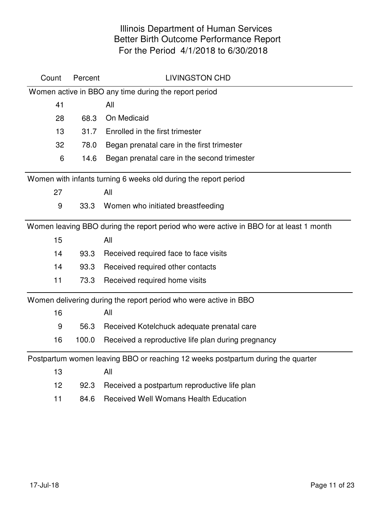| Count | Percent | <b>LIVINGSTON CHD</b>                                                                  |
|-------|---------|----------------------------------------------------------------------------------------|
|       |         | Women active in BBO any time during the report period                                  |
| 41    |         | All                                                                                    |
| 28    | 68.3    | On Medicaid                                                                            |
| 13    | 31.7    | Enrolled in the first trimester                                                        |
| 32    | 78.0    | Began prenatal care in the first trimester                                             |
| 6     | 14.6    | Began prenatal care in the second trimester                                            |
|       |         | Women with infants turning 6 weeks old during the report period                        |
| 27    |         | All                                                                                    |
| 9     | 33.3    | Women who initiated breastfeeding                                                      |
|       |         | Women leaving BBO during the report period who were active in BBO for at least 1 month |
| 15    |         | All                                                                                    |
| 14    | 93.3    | Received required face to face visits                                                  |
| 14    | 93.3    | Received required other contacts                                                       |
| 11    | 73.3    | Received required home visits                                                          |
|       |         | Women delivering during the report period who were active in BBO                       |
| 16    |         | All                                                                                    |
| 9     | 56.3    | Received Kotelchuck adequate prenatal care                                             |
| 16    | 100.0   | Received a reproductive life plan during pregnancy                                     |
|       |         | Postpartum women leaving BBO or reaching 12 weeks postpartum during the quarter        |
| 13    |         | All                                                                                    |
| 12    | 92.3    | Received a postpartum reproductive life plan                                           |
| 11    | 84.6    | <b>Received Well Womans Health Education</b>                                           |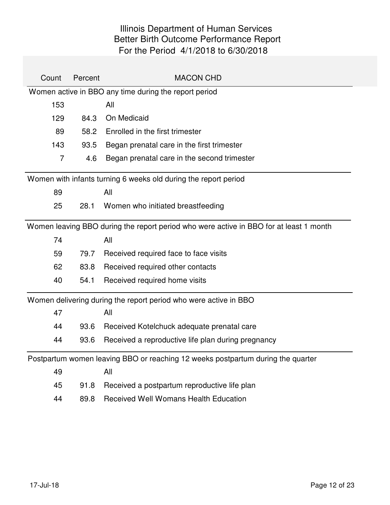| Count          | Percent | <b>MACON CHD</b>                                                                       |
|----------------|---------|----------------------------------------------------------------------------------------|
|                |         | Women active in BBO any time during the report period                                  |
| 153            |         | All                                                                                    |
| 129            | 84.3    | On Medicaid                                                                            |
| 89             | 58.2    | Enrolled in the first trimester                                                        |
| 143            | 93.5    | Began prenatal care in the first trimester                                             |
| $\overline{7}$ | 4.6     | Began prenatal care in the second trimester                                            |
|                |         | Women with infants turning 6 weeks old during the report period                        |
| 89             |         | All                                                                                    |
| 25             | 28.1    | Women who initiated breastfeeding                                                      |
|                |         | Women leaving BBO during the report period who were active in BBO for at least 1 month |
| 74             |         | All                                                                                    |
| 59             | 79.7    | Received required face to face visits                                                  |
| 62             | 83.8    | Received required other contacts                                                       |
| 40             | 54.1    | Received required home visits                                                          |
|                |         | Women delivering during the report period who were active in BBO                       |
| 47             |         | All                                                                                    |
| 44             | 93.6    | Received Kotelchuck adequate prenatal care                                             |
| 44             | 93.6    | Received a reproductive life plan during pregnancy                                     |
|                |         | Postpartum women leaving BBO or reaching 12 weeks postpartum during the quarter        |
| 49             |         | All                                                                                    |
| 45             | 91.8    | Received a postpartum reproductive life plan                                           |
| 44             | 89.8    | <b>Received Well Womans Health Education</b>                                           |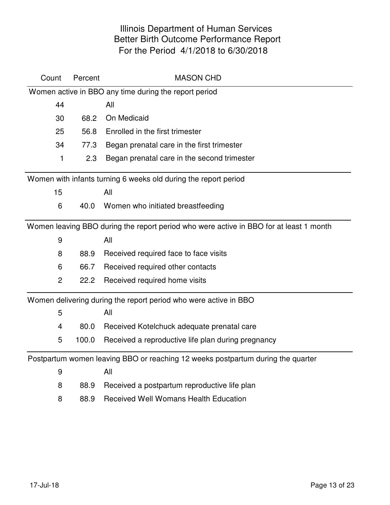| Count          | Percent | <b>MASON CHD</b>                                                                       |
|----------------|---------|----------------------------------------------------------------------------------------|
|                |         | Women active in BBO any time during the report period                                  |
| 44             |         | All                                                                                    |
| 30             | 68.2    | On Medicaid                                                                            |
| 25             | 56.8    | Enrolled in the first trimester                                                        |
| 34             | 77.3    | Began prenatal care in the first trimester                                             |
| 1              | 2.3     | Began prenatal care in the second trimester                                            |
|                |         | Women with infants turning 6 weeks old during the report period                        |
| 15             |         | All                                                                                    |
| 6              | 40.0    | Women who initiated breastfeeding                                                      |
|                |         | Women leaving BBO during the report period who were active in BBO for at least 1 month |
| 9              |         | All                                                                                    |
| 8              | 88.9    | Received required face to face visits                                                  |
| 6              | 66.7    | Received required other contacts                                                       |
| $\overline{2}$ | 22.2    | Received required home visits                                                          |
|                |         | Women delivering during the report period who were active in BBO                       |
| 5              |         | All                                                                                    |
| 4              | 80.0    | Received Kotelchuck adequate prenatal care                                             |
| 5              | 100.0   | Received a reproductive life plan during pregnancy                                     |
|                |         | Postpartum women leaving BBO or reaching 12 weeks postpartum during the quarter        |
| 9              |         | All                                                                                    |
| 8              | 88.9    | Received a postpartum reproductive life plan                                           |
| 8              | 88.9    | <b>Received Well Womans Health Education</b>                                           |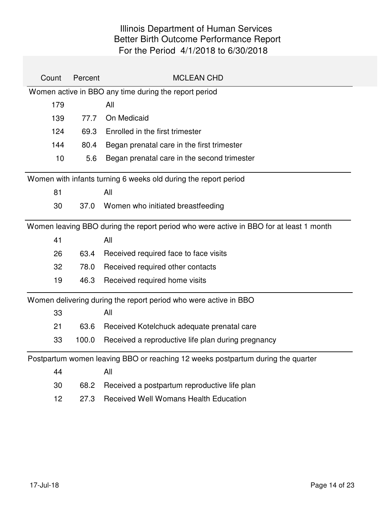| Count | Percent | <b>MCLEAN CHD</b>                                                                      |
|-------|---------|----------------------------------------------------------------------------------------|
|       |         | Women active in BBO any time during the report period                                  |
| 179   |         | All                                                                                    |
| 139   | 77.7    | On Medicaid                                                                            |
| 124   | 69.3    | Enrolled in the first trimester                                                        |
| 144   | 80.4    | Began prenatal care in the first trimester                                             |
| 10    | 5.6     | Began prenatal care in the second trimester                                            |
|       |         | Women with infants turning 6 weeks old during the report period                        |
| 81    |         | All                                                                                    |
| 30    | 37.0    | Women who initiated breastfeeding                                                      |
|       |         | Women leaving BBO during the report period who were active in BBO for at least 1 month |
| 41    |         | All                                                                                    |
| 26    | 63.4    | Received required face to face visits                                                  |
| 32    | 78.0    | Received required other contacts                                                       |
| 19    | 46.3    | Received required home visits                                                          |
|       |         | Women delivering during the report period who were active in BBO                       |
| 33    |         | All                                                                                    |
| 21    | 63.6    | Received Kotelchuck adequate prenatal care                                             |
| 33    | 100.0   | Received a reproductive life plan during pregnancy                                     |
|       |         | Postpartum women leaving BBO or reaching 12 weeks postpartum during the quarter        |
| 44    |         | All                                                                                    |
| 30    | 68.2    | Received a postpartum reproductive life plan                                           |
| 12    | 27.3    | <b>Received Well Womans Health Education</b>                                           |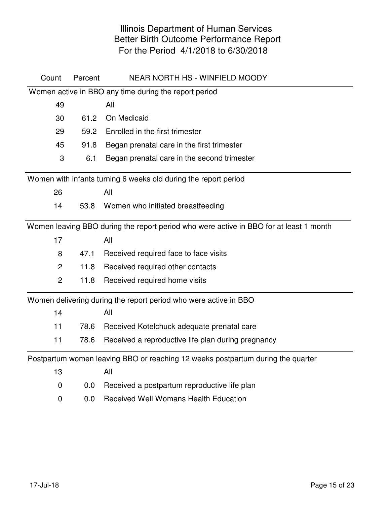| Count          | Percent | <b>NEAR NORTH HS - WINFIELD MOODY</b>                                                  |
|----------------|---------|----------------------------------------------------------------------------------------|
|                |         | Women active in BBO any time during the report period                                  |
| 49             |         | All                                                                                    |
| 30             | 61.2    | On Medicaid                                                                            |
| 29             | 59.2    | Enrolled in the first trimester                                                        |
| 45             | 91.8    | Began prenatal care in the first trimester                                             |
| 3              | 6.1     | Began prenatal care in the second trimester                                            |
|                |         | Women with infants turning 6 weeks old during the report period                        |
| 26             |         | All                                                                                    |
| 14             | 53.8    | Women who initiated breastfeeding                                                      |
|                |         | Women leaving BBO during the report period who were active in BBO for at least 1 month |
| 17             |         | All                                                                                    |
| 8              | 47.1    | Received required face to face visits                                                  |
| 2              | 11.8    | Received required other contacts                                                       |
| $\overline{2}$ | 11.8    | Received required home visits                                                          |
|                |         | Women delivering during the report period who were active in BBO                       |
| 14             |         | All                                                                                    |
| 11             | 78.6    | Received Kotelchuck adequate prenatal care                                             |
| 11             | 78.6    | Received a reproductive life plan during pregnancy                                     |
|                |         | Postpartum women leaving BBO or reaching 12 weeks postpartum during the quarter        |
| 13             |         | All                                                                                    |
| $\mathbf 0$    | 0.0     | Received a postpartum reproductive life plan                                           |
| $\mathbf 0$    | 0.0     | <b>Received Well Womans Health Education</b>                                           |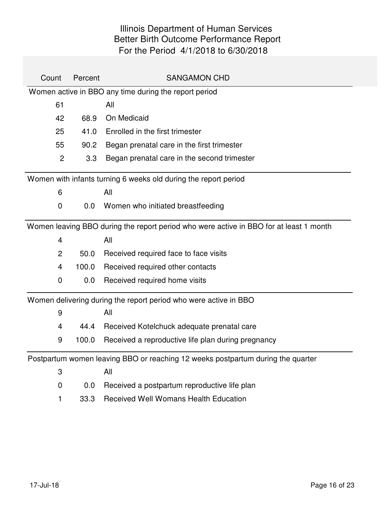| Count          | Percent | <b>SANGAMON CHD</b>                                                                    |
|----------------|---------|----------------------------------------------------------------------------------------|
|                |         | Women active in BBO any time during the report period                                  |
| 61             |         | All                                                                                    |
| 42             | 68.9    | On Medicaid                                                                            |
| 25             | 41.0    | Enrolled in the first trimester                                                        |
| 55             | 90.2    | Began prenatal care in the first trimester                                             |
| $\overline{2}$ | 3.3     | Began prenatal care in the second trimester                                            |
|                |         | Women with infants turning 6 weeks old during the report period                        |
| 6              |         | All                                                                                    |
| $\mathbf 0$    | 0.0     | Women who initiated breastfeeding                                                      |
|                |         | Women leaving BBO during the report period who were active in BBO for at least 1 month |
| 4              |         | All                                                                                    |
| 2              | 50.0    | Received required face to face visits                                                  |
| 4              | 100.0   | Received required other contacts                                                       |
| 0              | 0.0     | Received required home visits                                                          |
|                |         | Women delivering during the report period who were active in BBO                       |
| 9              |         | All                                                                                    |
| 4              | 44.4    | Received Kotelchuck adequate prenatal care                                             |
| 9              | 100.0   | Received a reproductive life plan during pregnancy                                     |
|                |         | Postpartum women leaving BBO or reaching 12 weeks postpartum during the quarter        |
| 3              |         | All                                                                                    |
| $\overline{0}$ | 0.0     | Received a postpartum reproductive life plan                                           |
| 1              | 33.3    | <b>Received Well Womans Health Education</b>                                           |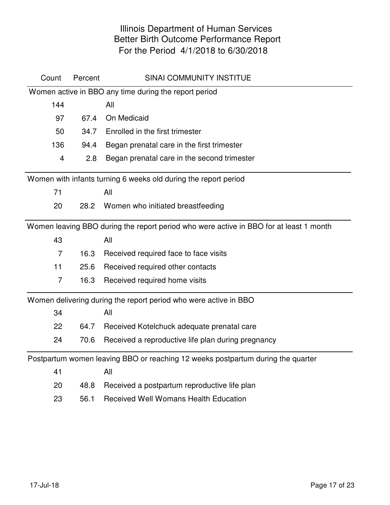| Count          | Percent | <b>SINAI COMMUNITY INSTITUE</b>                                                        |
|----------------|---------|----------------------------------------------------------------------------------------|
|                |         | Women active in BBO any time during the report period                                  |
| 144            |         | All                                                                                    |
| 97             | 67.4    | On Medicaid                                                                            |
| 50             | 34.7    | Enrolled in the first trimester                                                        |
| 136            | 94.4    | Began prenatal care in the first trimester                                             |
| $\overline{4}$ | 2.8     | Began prenatal care in the second trimester                                            |
|                |         | Women with infants turning 6 weeks old during the report period                        |
| 71             |         | All                                                                                    |
| 20             | 28.2    | Women who initiated breastfeeding                                                      |
|                |         | Women leaving BBO during the report period who were active in BBO for at least 1 month |
| 43             |         | All                                                                                    |
| $\overline{7}$ | 16.3    | Received required face to face visits                                                  |
| 11             | 25.6    | Received required other contacts                                                       |
| $\overline{7}$ | 16.3    | Received required home visits                                                          |
|                |         | Women delivering during the report period who were active in BBO                       |
| 34             |         | All                                                                                    |
| 22             | 64.7    | Received Kotelchuck adequate prenatal care                                             |
| 24             | 70.6    | Received a reproductive life plan during pregnancy                                     |
|                |         | Postpartum women leaving BBO or reaching 12 weeks postpartum during the quarter        |
| 41             |         | All                                                                                    |
| 20             | 48.8    | Received a postpartum reproductive life plan                                           |
| 23             | 56.1    | <b>Received Well Womans Health Education</b>                                           |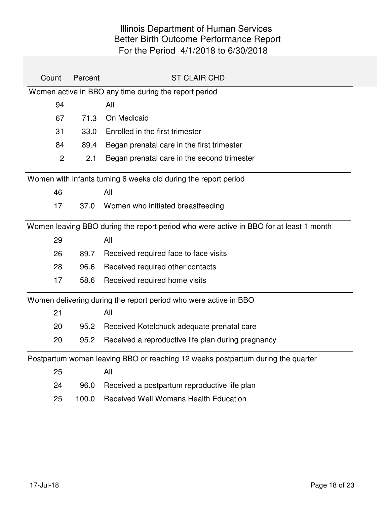| Count          | Percent | <b>ST CLAIR CHD</b>                                                                    |
|----------------|---------|----------------------------------------------------------------------------------------|
|                |         | Women active in BBO any time during the report period                                  |
| 94             |         | All                                                                                    |
| 67             | 71.3    | On Medicaid                                                                            |
| 31             | 33.0    | Enrolled in the first trimester                                                        |
| 84             | 89.4    | Began prenatal care in the first trimester                                             |
| $\overline{2}$ | 2.1     | Began prenatal care in the second trimester                                            |
|                |         | Women with infants turning 6 weeks old during the report period                        |
| 46             |         | All                                                                                    |
| 17             | 37.0    | Women who initiated breastfeeding                                                      |
|                |         | Women leaving BBO during the report period who were active in BBO for at least 1 month |
| 29             |         | All                                                                                    |
| 26             | 89.7    | Received required face to face visits                                                  |
| 28             | 96.6    | Received required other contacts                                                       |
| 17             | 58.6    | Received required home visits                                                          |
|                |         | Women delivering during the report period who were active in BBO                       |
| 21             |         | All                                                                                    |
| 20             | 95.2    | Received Kotelchuck adequate prenatal care                                             |
| 20             | 95.2    | Received a reproductive life plan during pregnancy                                     |
|                |         | Postpartum women leaving BBO or reaching 12 weeks postpartum during the quarter        |
| 25             |         | All                                                                                    |
| 24             | 96.0    | Received a postpartum reproductive life plan                                           |
| 25             | 100.0   | <b>Received Well Womans Health Education</b>                                           |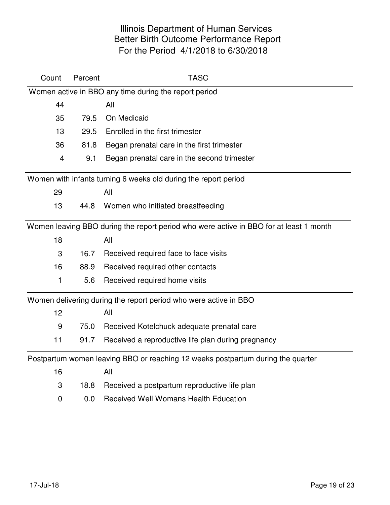| Count          | Percent | <b>TASC</b>                                                                            |
|----------------|---------|----------------------------------------------------------------------------------------|
|                |         | Women active in BBO any time during the report period                                  |
| 44             |         | All                                                                                    |
| 35             | 79.5    | On Medicaid                                                                            |
| 13             | 29.5    | Enrolled in the first trimester                                                        |
| 36             | 81.8    | Began prenatal care in the first trimester                                             |
| $\overline{4}$ | 9.1     | Began prenatal care in the second trimester                                            |
|                |         | Women with infants turning 6 weeks old during the report period                        |
| 29             |         | All                                                                                    |
| 13             | 44.8    | Women who initiated breastfeeding                                                      |
|                |         | Women leaving BBO during the report period who were active in BBO for at least 1 month |
| 18             |         | All                                                                                    |
| 3              | 16.7    | Received required face to face visits                                                  |
| 16             | 88.9    | Received required other contacts                                                       |
| 1              | 5.6     | Received required home visits                                                          |
|                |         | Women delivering during the report period who were active in BBO                       |
| 12             |         | All                                                                                    |
| 9              | 75.0    | Received Kotelchuck adequate prenatal care                                             |
| 11             | 91.7    | Received a reproductive life plan during pregnancy                                     |
|                |         | Postpartum women leaving BBO or reaching 12 weeks postpartum during the quarter        |
| 16             |         | All                                                                                    |
| 3              | 18.8    | Received a postpartum reproductive life plan                                           |
| 0              | 0.0     | <b>Received Well Womans Health Education</b>                                           |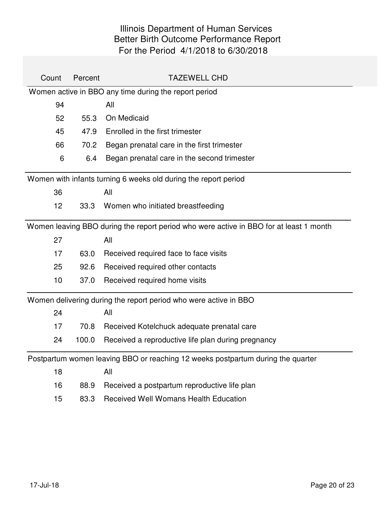| Count | Percent                                                         | <b>TAZEWELL CHD</b>                                                                    |  |  |
|-------|-----------------------------------------------------------------|----------------------------------------------------------------------------------------|--|--|
|       |                                                                 | Women active in BBO any time during the report period                                  |  |  |
| 94    |                                                                 | All                                                                                    |  |  |
| 52    | 55.3                                                            | On Medicaid                                                                            |  |  |
| 45    | 47.9                                                            | Enrolled in the first trimester                                                        |  |  |
| 66    | 70.2                                                            | Began prenatal care in the first trimester                                             |  |  |
| 6     | 6.4                                                             | Began prenatal care in the second trimester                                            |  |  |
|       | Women with infants turning 6 weeks old during the report period |                                                                                        |  |  |
| 36    |                                                                 | All                                                                                    |  |  |
| 12    | 33.3                                                            | Women who initiated breastfeeding                                                      |  |  |
|       |                                                                 | Women leaving BBO during the report period who were active in BBO for at least 1 month |  |  |
| 27    |                                                                 | All                                                                                    |  |  |
| 17    | 63.0                                                            | Received required face to face visits                                                  |  |  |
| 25    | 92.6                                                            | Received required other contacts                                                       |  |  |
| 10    | 37.0                                                            | Received required home visits                                                          |  |  |
|       |                                                                 | Women delivering during the report period who were active in BBO                       |  |  |
| 24    |                                                                 | All                                                                                    |  |  |
| 17    | 70.8                                                            | Received Kotelchuck adequate prenatal care                                             |  |  |
| 24    | 100.0                                                           | Received a reproductive life plan during pregnancy                                     |  |  |
|       |                                                                 | Postpartum women leaving BBO or reaching 12 weeks postpartum during the quarter        |  |  |
| 18    |                                                                 | All                                                                                    |  |  |
| 16    | 88.9                                                            | Received a postpartum reproductive life plan                                           |  |  |
| 15    | 83.3                                                            | <b>Received Well Womans Health Education</b>                                           |  |  |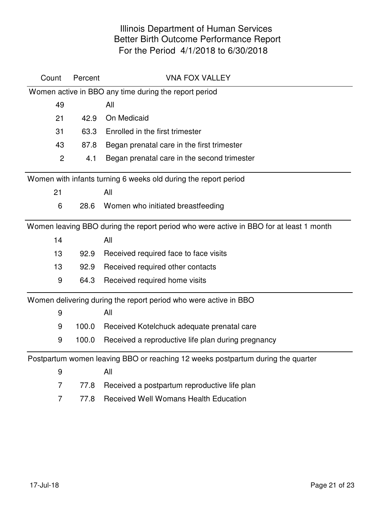| Count            | Percent | <b>VNA FOX VALLEY</b>                                                                  |
|------------------|---------|----------------------------------------------------------------------------------------|
|                  |         | Women active in BBO any time during the report period                                  |
| 49               |         | All                                                                                    |
| 21               | 42.9    | On Medicaid                                                                            |
| 31               | 63.3    | Enrolled in the first trimester                                                        |
| 43               | 87.8    | Began prenatal care in the first trimester                                             |
| $\overline{2}$   | 4.1     | Began prenatal care in the second trimester                                            |
|                  |         | Women with infants turning 6 weeks old during the report period                        |
| 21               |         | All                                                                                    |
| 6                | 28.6    | Women who initiated breastfeeding                                                      |
|                  |         | Women leaving BBO during the report period who were active in BBO for at least 1 month |
| 14               |         | All                                                                                    |
| 13               | 92.9    | Received required face to face visits                                                  |
| 13               | 92.9    | Received required other contacts                                                       |
| 9                | 64.3    | Received required home visits                                                          |
|                  |         | Women delivering during the report period who were active in BBO                       |
| 9                |         | All                                                                                    |
| 9                | 100.0   | Received Kotelchuck adequate prenatal care                                             |
| 9                | 100.0   | Received a reproductive life plan during pregnancy                                     |
|                  |         | Postpartum women leaving BBO or reaching 12 weeks postpartum during the quarter        |
| $\boldsymbol{9}$ |         | All                                                                                    |
| $\overline{7}$   | 77.8    | Received a postpartum reproductive life plan                                           |
| 7                | 77.8    | <b>Received Well Womans Health Education</b>                                           |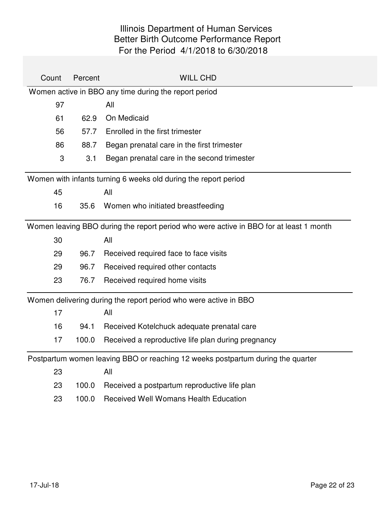| Count | Percent | <b>WILL CHD</b>                                                                        |
|-------|---------|----------------------------------------------------------------------------------------|
|       |         | Women active in BBO any time during the report period                                  |
| 97    |         | All                                                                                    |
| 61    | 62.9    | On Medicaid                                                                            |
| 56    | 57.7    | Enrolled in the first trimester                                                        |
| 86    | 88.7    | Began prenatal care in the first trimester                                             |
| 3     | 3.1     | Began prenatal care in the second trimester                                            |
|       |         | Women with infants turning 6 weeks old during the report period                        |
| 45    |         | All                                                                                    |
| 16    | 35.6    | Women who initiated breastfeeding                                                      |
|       |         | Women leaving BBO during the report period who were active in BBO for at least 1 month |
| 30    |         | All                                                                                    |
| 29    | 96.7    | Received required face to face visits                                                  |
| 29    | 96.7    | Received required other contacts                                                       |
| 23    | 76.7    | Received required home visits                                                          |
|       |         | Women delivering during the report period who were active in BBO                       |
| 17    |         | All                                                                                    |
| 16    | 94.1    | Received Kotelchuck adequate prenatal care                                             |
| 17    | 100.0   | Received a reproductive life plan during pregnancy                                     |
|       |         | Postpartum women leaving BBO or reaching 12 weeks postpartum during the quarter        |
| 23    |         | All                                                                                    |
| 23    | 100.0   | Received a postpartum reproductive life plan                                           |
| 23    | 100.0   | <b>Received Well Womans Health Education</b>                                           |